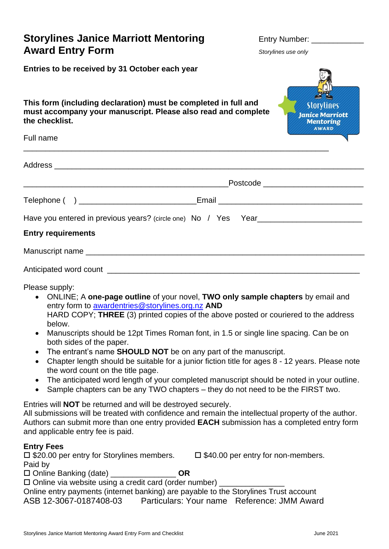# **Storylines Janice Marriott Mentoring Fig. 2016 Entry Number: \_ Award Entry Form** *Storylines use only*

**Janice Marriott Mentoring** 

**Entries to be received by 31 October each year**

**This form (including declaration) must be completed in full and must accompany your manuscript. Please also read and complete the checklist.**

| Full name                                                                         | annanananang                          |
|-----------------------------------------------------------------------------------|---------------------------------------|
|                                                                                   |                                       |
|                                                                                   | Postcode ____________________________ |
| Telephone ( ) ________________________________Email ____________________________  |                                       |
| Have you entered in previous years? (circle one) No / Yes Year___________________ |                                       |
| <b>Entry requirements</b>                                                         |                                       |
|                                                                                   |                                       |
|                                                                                   |                                       |

Please supply:

- ONLINE; A **one-page outline** of your novel, **TWO only sample chapters** by email and entry form to [awardentries@storylines.org.nz](mailto:awardentries@storylines.org.nz) **AND** HARD COPY; **THREE** (3) printed copies of the above posted or couriered to the address below.
- Manuscripts should be 12pt Times Roman font, in 1.5 or single line spacing. Can be on both sides of the paper.
- The entrant's name **SHOULD NOT** be on any part of the manuscript.
- Chapter length should be suitable for a junior fiction title for ages 8 12 years. Please note the word count on the title page.
- The anticipated word length of your completed manuscript should be noted in your outline.
- Sample chapters can be any TWO chapters they do not need to be the FIRST two.

Entries will **NOT** be returned and will be destroyed securely.

All submissions will be treated with confidence and remain the intellectual property of the author. Authors can submit more than one entry provided **EACH** submission has a completed entry form and applicable entry fee is paid.

#### **Entry Fees**

| $\square$ \$20.00 per entry for Storylines members.          | $\Box$ \$40.00 per entry for non-members. |
|--------------------------------------------------------------|-------------------------------------------|
| Paid by                                                      |                                           |
| $\Box$ Online Banking (date)<br>OR                           |                                           |
| $\Box$ Online via website using a credit card (order number) |                                           |

Online entry payments (internet banking) are payable to the Storylines Trust account ASB 12-3067-0187408-03 Particulars: Your name Reference: JMM Award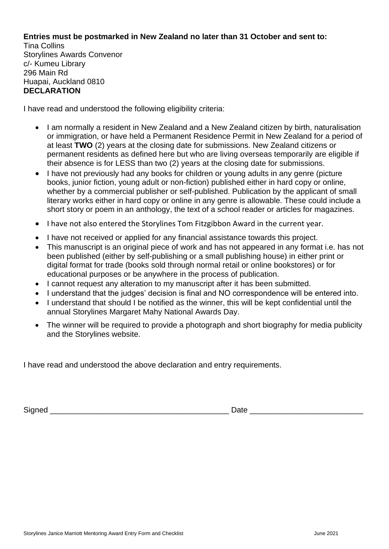### **Entries must be postmarked in New Zealand no later than 31 October and sent to:**

Tina Collins Storylines Awards Convenor c/- Kumeu Library 296 Main Rd Huapai, Auckland 0810 **DECLARATION**

I have read and understood the following eligibility criteria:

- I am normally a resident in New Zealand and a New Zealand citizen by birth, naturalisation or immigration, or have held a Permanent Residence Permit in New Zealand for a period of at least **TWO** (2) years at the closing date for submissions. New Zealand citizens or permanent residents as defined here but who are living overseas temporarily are eligible if their absence is for LESS than two (2) years at the closing date for submissions.
- I have not previously had any books for children or young adults in any genre (picture books, junior fiction, young adult or non-fiction) published either in hard copy or online, whether by a commercial publisher or self-published. Publication by the applicant of small literary works either in hard copy or online in any genre is allowable. These could include a short story or poem in an anthology, the text of a school reader or articles for magazines.
- I have not also entered the Storylines Tom Fitzgibbon Award in the current year.
- I have not received or applied for any financial assistance towards this project.
- This manuscript is an original piece of work and has not appeared in any format i.e. has not been published (either by self-publishing or a small publishing house) in either print or digital format for trade (books sold through normal retail or online bookstores) or for educational purposes or be anywhere in the process of publication.
- I cannot request any alteration to my manuscript after it has been submitted.
- I understand that the judges' decision is final and NO correspondence will be entered into.
- I understand that should I be notified as the winner, this will be kept confidential until the annual Storylines Margaret Mahy National Awards Day.
- The winner will be required to provide a photograph and short biography for media publicity and the Storylines website.

I have read and understood the above declaration and entry requirements.

Signed **Example 2** and the state of  $\Box$  Date  $\Box$  Date  $\Box$  Date  $\Box$